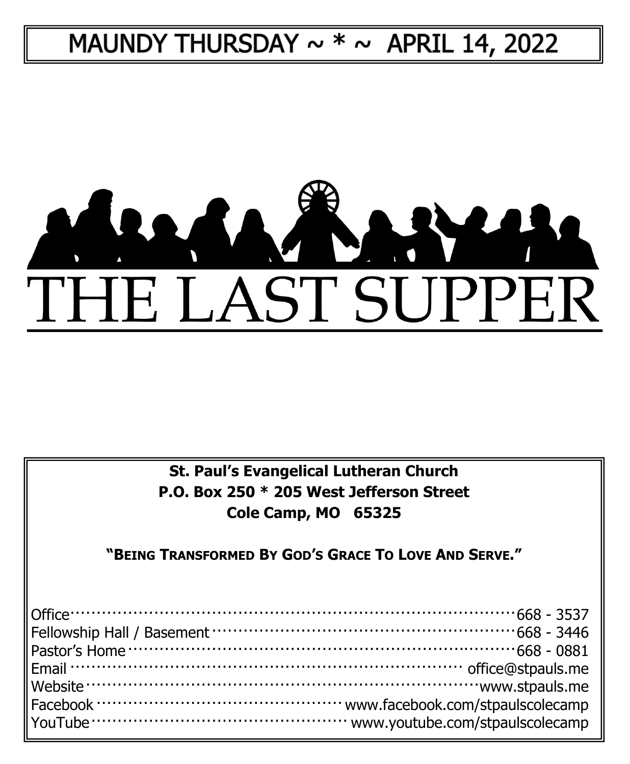# MAUNDY THURSDAY  $\sim$  \*  $\sim$  APRIL 14, 2022



**St. Paul's Evangelical Lutheran Church P.O. Box 250 \* 205 West Jefferson Street Cole Camp, MO 65325**

**"BEING TRANSFORMED BY GOD'S GRACE TO LOVE AND SERVE."**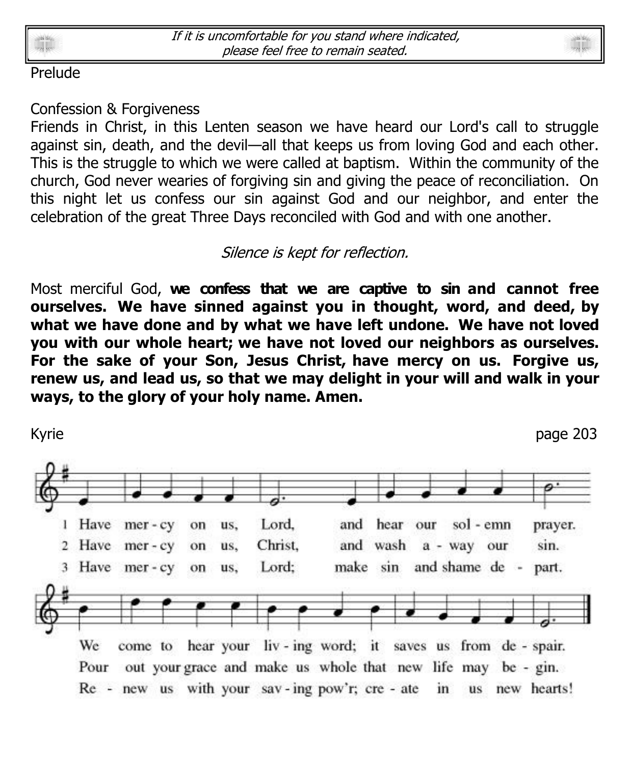



#### Prelude

#### Confession & Forgiveness

Friends in Christ, in this Lenten season we have heard our Lord's call to struggle against sin, death, and the devil—all that keeps us from loving God and each other. This is the struggle to which we were called at baptism. Within the community of the church, God never wearies of forgiving sin and giving the peace of reconciliation. On this night let us confess our sin against God and our neighbor, and enter the celebration of the great Three Days reconciled with God and with one another.

### Silence is kept for reflection.

Most merciful God, **we confess that we are captive to sin and cannot free ourselves. We have sinned against you in thought, word, and deed, by what we have done and by what we have left undone. We have not loved you with our whole heart; we have not loved our neighbors as ourselves. For the sake of your Son, Jesus Christ, have mercy on us. Forgive us, renew us, and lead us, so that we may delight in your will and walk in your ways, to the glory of your holy name. Amen.**

Kyrie page 203 1 Have Lord, and hear our sol - emn  $mer - cy$ on us. prayer. Have mer-cy Christ. sin.  $\overline{2}$ on us. and wash a - way our 3 Have mer-cy Lord: make sin and shame de on us, part. hear your liv-ing word; it saves us from de-spair. We come to Pour out your grace and make us whole that new life may be - gin. Re - new us with your sav-ing pow'r; cre - ate  $\mathbf{in}$ us new hearts!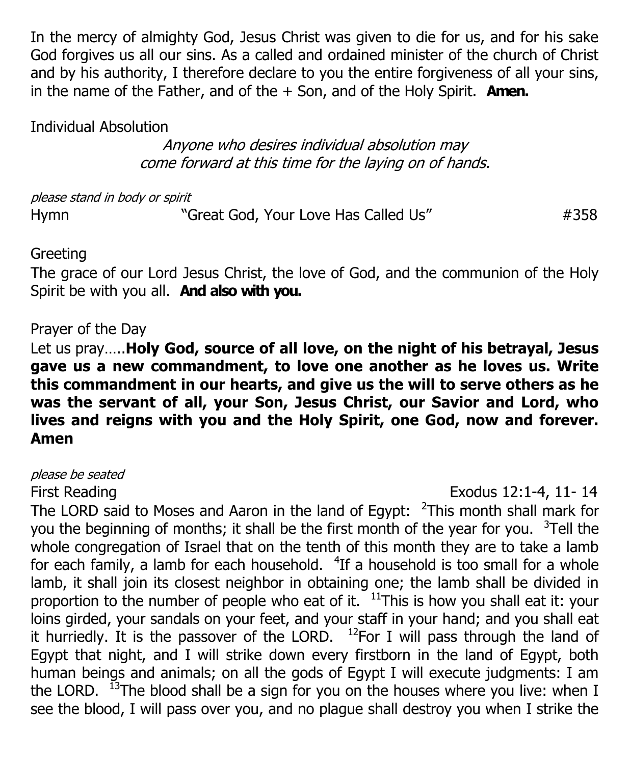In the mercy of almighty God, Jesus Christ was given to die for us, and for his sake God forgives us all our sins. As a called and ordained minister of the church of Christ and by his authority, I therefore declare to you the entire forgiveness of all your sins, in the name of the Father, and of the + Son, and of the Holy Spirit. **Amen.**

Individual Absolution

Anyone who desires individual absolution may come forward at this time for the laying on of hands.

please stand in body or spirit

Hymn 
"Great God, Your Love Has Called Us"  $\#358$ 

#### **Greeting**

The grace of our Lord Jesus Christ, the love of God, and the communion of the Holy Spirit be with you all. **And also with you.**

#### Prayer of the Day

Let us pray…..**Holy God, source of all love, on the night of his betrayal, Jesus gave us a new commandment, to love one another as he loves us. Write this commandment in our hearts, and give us the will to serve others as he was the servant of all, your Son, Jesus Christ, our Savior and Lord, who lives and reigns with you and the Holy Spirit, one God, now and forever. Amen**

please be seated

First Reading Exodus 12:1-4, 11- 14

The LORD said to Moses and Aaron in the land of Egypt:  $\frac{2}{1}$ This month shall mark for you the beginning of months; it shall be the first month of the year for you.  $3$ Tell the whole congregation of Israel that on the tenth of this month they are to take a lamb for each family, a lamb for each household.  $4$ If a household is too small for a whole lamb, it shall join its closest neighbor in obtaining one; the lamb shall be divided in proportion to the number of people who eat of it.  $11$ This is how you shall eat it: your loins girded, your sandals on your feet, and your staff in your hand; and you shall eat it hurriedly. It is the passover of the LORD.  $12$ For I will pass through the land of Egypt that night, and I will strike down every firstborn in the land of Egypt, both human beings and animals; on all the gods of Egypt I will execute judgments: I am the LORD.  $^{13}$ The blood shall be a sign for you on the houses where you live: when I see the blood, I will pass over you, and no plague shall destroy you when I strike the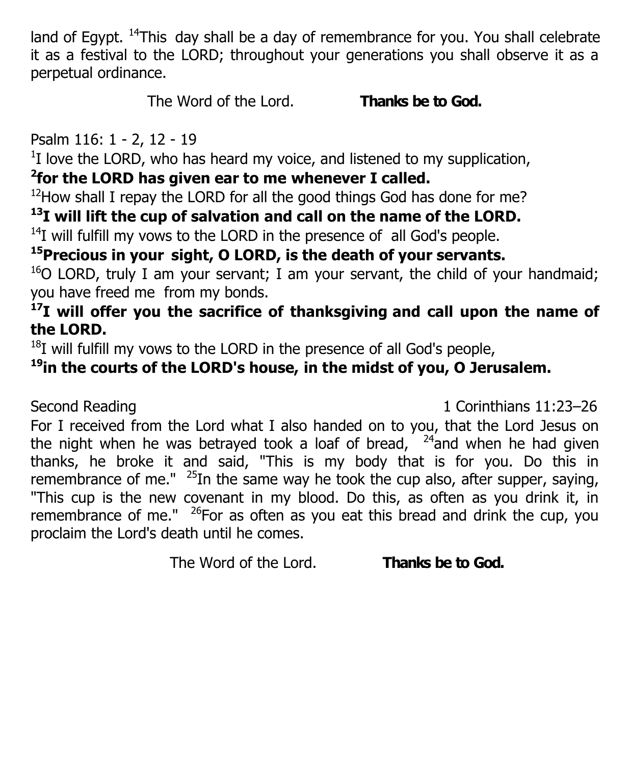land of Egypt.  $14$ This day shall be a day of remembrance for you. You shall celebrate it as a festival to the LORD; throughout your generations you shall observe it as a perpetual ordinance.

The Word of the Lord. **Thanks be to God.**

Psalm 116: 1 - 2, 12 - 19

 $1$ I love the LORD, who has heard my voice, and listened to my supplication,

## **2 for the LORD has given ear to me whenever I called.**

 $12$ How shall I repay the LORD for all the good things God has done for me?

## **<sup>13</sup>I will lift the cup of salvation and call on the name of the LORD.**

 $14$ I will fulfill my vows to the LORD in the presence of all God's people.

## **<sup>15</sup>Precious in your sight, O LORD, is the death of your servants.**

 $16$ O LORD, truly I am your servant; I am your servant, the child of your handmaid; you have freed me from my bonds.

## **<sup>17</sup>I will offer you the sacrifice of thanksgiving and call upon the name of the LORD.**

 $18I$  will fulfill my vows to the LORD in the presence of all God's people,

## **<sup>19</sup>in the courts of the LORD's house, in the midst of you, O Jerusalem.**

Second Reading 1:23–26

For I received from the Lord what I also handed on to you, that the Lord Jesus on the night when he was betrayed took a loaf of bread,  $24$  and when he had given thanks, he broke it and said, "This is my body that is for you. Do this in remembrance of me."  $25$ In the same way he took the cup also, after supper, saying, "This cup is the new covenant in my blood. Do this, as often as you drink it, in remembrance of me."  $26$  For as often as you eat this bread and drink the cup, you proclaim the Lord's death until he comes.

The Word of the Lord. **Thanks be to God.**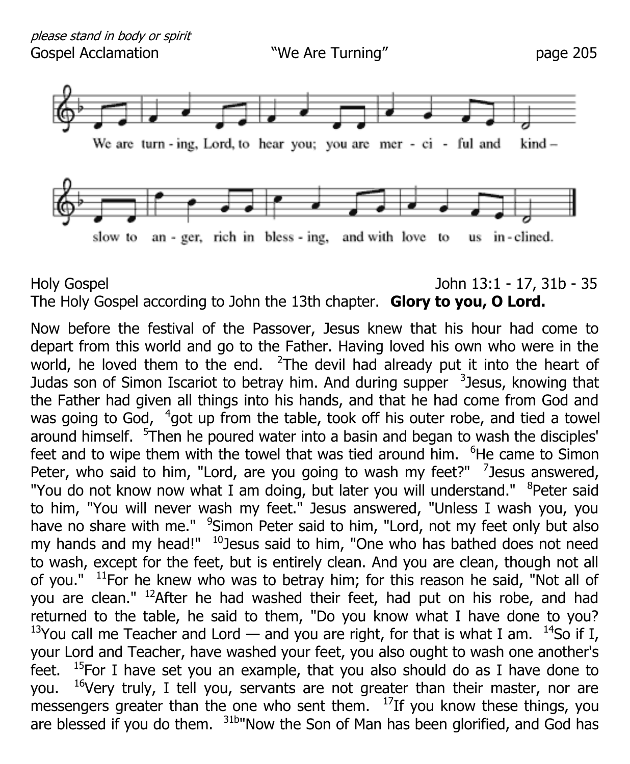

#### Holy Gospel John 13:1 - 17, 31b - 35 The Holy Gospel according to John the 13th chapter. **Glory to you, O Lord.**

Now before the festival of the Passover, Jesus knew that his hour had come to depart from this world and go to the Father. Having loved his own who were in the world, he loved them to the end.  $2$ The devil had already put it into the heart of Judas son of Simon Iscariot to betray him. And during supper <sup>3</sup>Jesus, knowing that the Father had given all things into his hands, and that he had come from God and was going to God, <sup>4</sup>got up from the table, took off his outer robe, and tied a towel around himself. <sup>5</sup>Then he poured water into a basin and began to wash the disciples' feet and to wipe them with the towel that was tied around him.  $6$ He came to Simon Peter, who said to him, "Lord, are you going to wash my feet?"  $\frac{7}{2}$  Jesus answered, "You do not know now what I am doing, but later you will understand." <sup>8</sup>Peter said to him, "You will never wash my feet." Jesus answered, "Unless I wash you, you have no share with me." <sup>9</sup>Simon Peter said to him, "Lord, not my feet only but also my hands and my head!"  $10$  Jesus said to him, "One who has bathed does not need to wash, except for the feet, but is entirely clean. And you are clean, though not all of you."  $11$ For he knew who was to betray him; for this reason he said, "Not all of you are clean." <sup>12</sup>After he had washed their feet, had put on his robe, and had returned to the table, he said to them, "Do you know what I have done to you? <sup>13</sup>You call me Teacher and Lord — and you are right, for that is what I am. <sup>14</sup>So if I, your Lord and Teacher, have washed your feet, you also ought to wash one another's feet.  $15$ For I have set you an example, that you also should do as I have done to you.  $16V$ ery truly, I tell you, servants are not greater than their master, nor are messengers greater than the one who sent them.  $17$ If you know these things, you are blessed if you do them. <sup>31b"</sup>Now the Son of Man has been glorified, and God has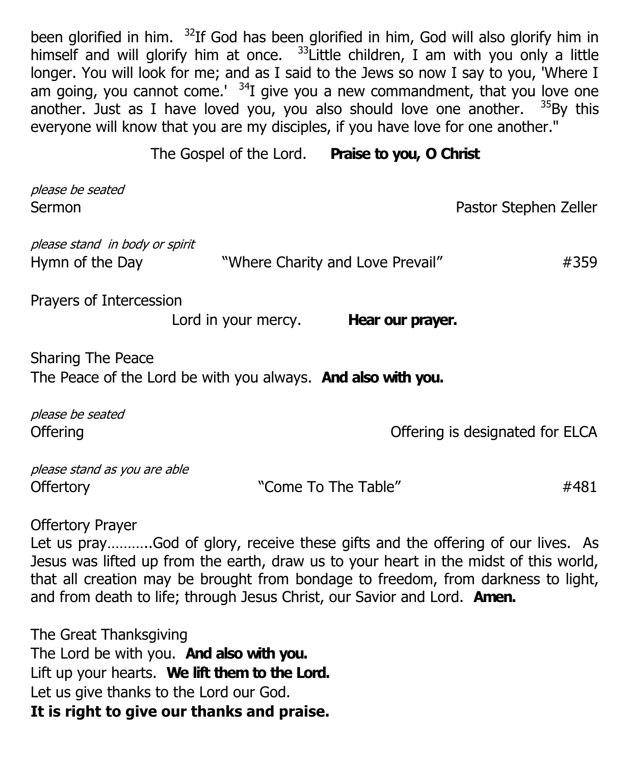been glorified in him.  $32$ If God has been glorified in him, God will also glorify him in himself and will glorify him at once.  $33$  Little children, I am with you only a little longer. You will look for me; and as I said to the Jews so now I say to you, 'Where I am going, you cannot come.<sup>'  $34$ </sup>I give you a new commandment, that you love one another. Just as I have loved you, you also should love one another.  $35By$  this everyone will know that you are my disciples, if you have love for one another."

The Gospel of the Lord. **Praise to you, O Christ**

| please be seated<br>Sermon                                                                                                                                                                                                                                                                                                                                          |                     |                                  | Pastor Stephen Zeller           |  |
|---------------------------------------------------------------------------------------------------------------------------------------------------------------------------------------------------------------------------------------------------------------------------------------------------------------------------------------------------------------------|---------------------|----------------------------------|---------------------------------|--|
| please stand in body or spirit<br>Hymn of the Day                                                                                                                                                                                                                                                                                                                   |                     | "Where Charity and Love Prevail" | #359                            |  |
| Prayers of Intercession                                                                                                                                                                                                                                                                                                                                             | Lord in your mercy. | Hear our prayer.                 |                                 |  |
| <b>Sharing The Peace</b><br>The Peace of the Lord be with you always. <b>And also with you.</b>                                                                                                                                                                                                                                                                     |                     |                                  |                                 |  |
| please be seated<br>Offering                                                                                                                                                                                                                                                                                                                                        |                     |                                  | Offering is designated for ELCA |  |
| please stand as you are able<br><b>Offertory</b>                                                                                                                                                                                                                                                                                                                    |                     | "Come To The Table"              | #481                            |  |
| <b>Offertory Prayer</b><br>Let us prayGod of glory, receive these gifts and the offering of our lives. As<br>Jesus was lifted up from the earth, draw us to your heart in the midst of this world,<br>that all creation may be brought from bondage to freedom, from darkness to light,<br>and from death to life; through Jesus Christ, our Savior and Lord. Amen. |                     |                                  |                                 |  |

The Great Thanksgiving The Lord be with you. **And also with you.** Lift up your hearts. **We lift them to the Lord.** Let us give thanks to the Lord our God. **It is right to give our thanks and praise.**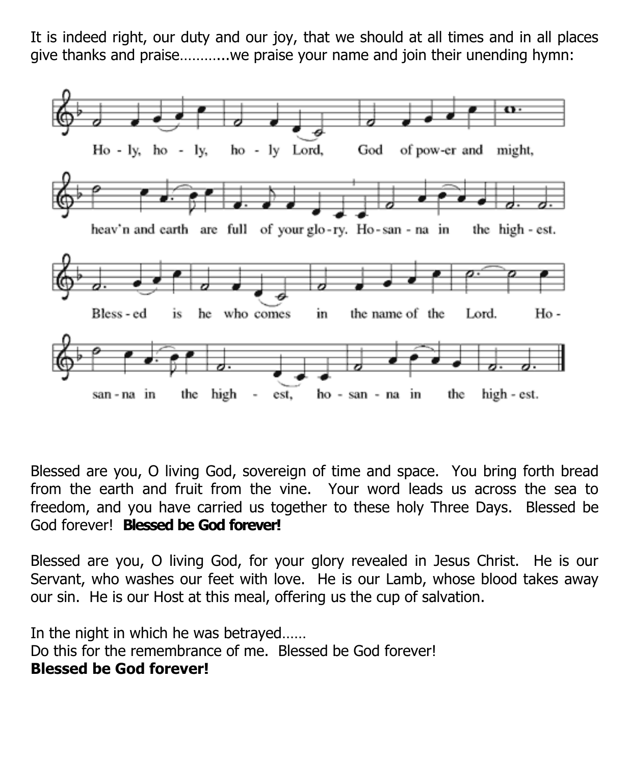It is indeed right, our duty and our joy, that we should at all times and in all places give thanks and praise………...we praise your name and join their unending hymn:



Blessed are you, O living God, sovereign of time and space. You bring forth bread from the earth and fruit from the vine. Your word leads us across the sea to freedom, and you have carried us together to these holy Three Days. Blessed be God forever! **Blessed be God forever!**

Blessed are you, O living God, for your glory revealed in Jesus Christ. He is our Servant, who washes our feet with love. He is our Lamb, whose blood takes away our sin. He is our Host at this meal, offering us the cup of salvation.

In the night in which he was betrayed…… Do this for the remembrance of me. Blessed be God forever! **Blessed be God forever!**